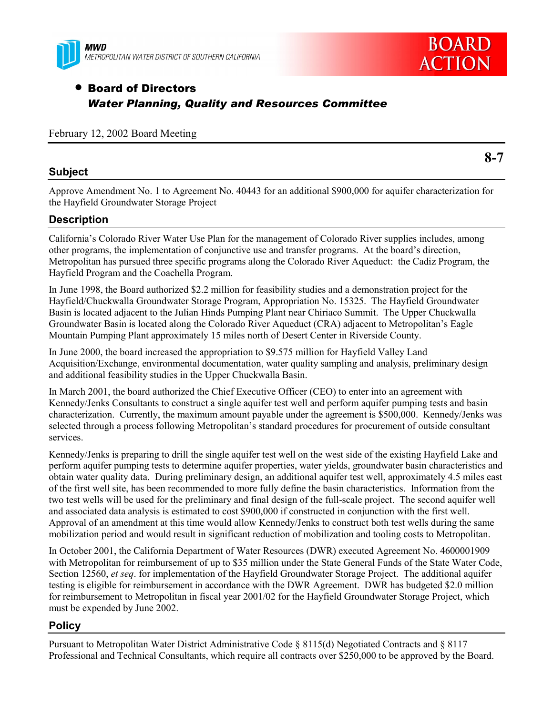



## • Board of Directors *Water Planning, Quality and Resources Committee*

February 12, 2002 Board Meeting

### **Subject**

**8-7**

Approve Amendment No. 1 to Agreement No. 40443 for an additional \$900,000 for aquifer characterization for the Hayfield Groundwater Storage Project

### **Description**

Californiaís Colorado River Water Use Plan for the management of Colorado River supplies includes, among other programs, the implementation of conjunctive use and transfer programs. At the board's direction, Metropolitan has pursued three specific programs along the Colorado River Aqueduct: the Cadiz Program, the Hayfield Program and the Coachella Program.

In June 1998, the Board authorized \$2.2 million for feasibility studies and a demonstration project for the Hayfield/Chuckwalla Groundwater Storage Program, Appropriation No. 15325. The Hayfield Groundwater Basin is located adjacent to the Julian Hinds Pumping Plant near Chiriaco Summit. The Upper Chuckwalla Groundwater Basin is located along the Colorado River Aqueduct (CRA) adjacent to Metropolitan's Eagle Mountain Pumping Plant approximately 15 miles north of Desert Center in Riverside County.

In June 2000, the board increased the appropriation to \$9.575 million for Hayfield Valley Land Acquisition/Exchange, environmental documentation, water quality sampling and analysis, preliminary design and additional feasibility studies in the Upper Chuckwalla Basin.

In March 2001, the board authorized the Chief Executive Officer (CEO) to enter into an agreement with Kennedy/Jenks Consultants to construct a single aquifer test well and perform aquifer pumping tests and basin characterization. Currently, the maximum amount payable under the agreement is \$500,000. Kennedy/Jenks was selected through a process following Metropolitan's standard procedures for procurement of outside consultant services.

Kennedy/Jenks is preparing to drill the single aquifer test well on the west side of the existing Hayfield Lake and perform aquifer pumping tests to determine aquifer properties, water yields, groundwater basin characteristics and obtain water quality data. During preliminary design, an additional aquifer test well, approximately 4.5 miles east of the first well site, has been recommended to more fully define the basin characteristics. Information from the two test wells will be used for the preliminary and final design of the full-scale project. The second aquifer well and associated data analysis is estimated to cost \$900,000 if constructed in conjunction with the first well. Approval of an amendment at this time would allow Kennedy/Jenks to construct both test wells during the same mobilization period and would result in significant reduction of mobilization and tooling costs to Metropolitan.

In October 2001, the California Department of Water Resources (DWR) executed Agreement No. 4600001909 with Metropolitan for reimbursement of up to \$35 million under the State General Funds of the State Water Code, Section 12560, *et seq*. for implementation of the Hayfield Groundwater Storage Project. The additional aquifer testing is eligible for reimbursement in accordance with the DWR Agreement. DWR has budgeted \$2.0 million for reimbursement to Metropolitan in fiscal year 2001/02 for the Hayfield Groundwater Storage Project, which must be expended by June 2002.

### **Policy**

Pursuant to Metropolitan Water District Administrative Code ß 8115(d) Negotiated Contracts and ß 8117 Professional and Technical Consultants, which require all contracts over \$250,000 to be approved by the Board.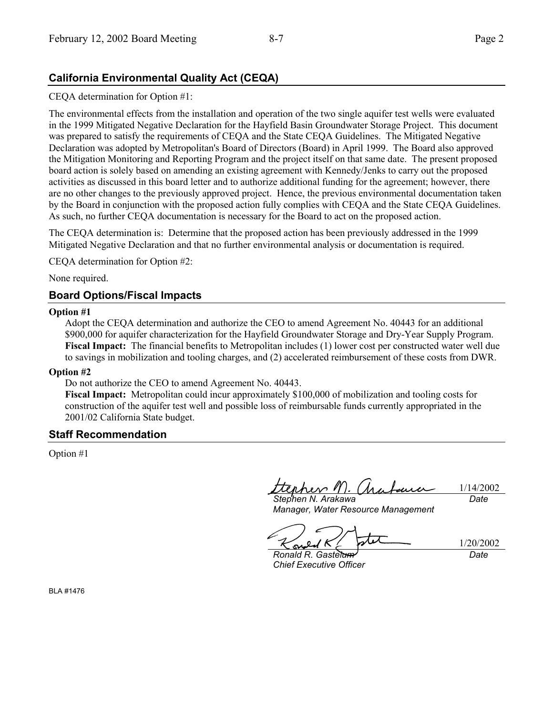## **California Environmental Quality Act (CEQA)**

#### CEQA determination for Option #1:

The environmental effects from the installation and operation of the two single aquifer test wells were evaluated in the 1999 Mitigated Negative Declaration for the Hayfield Basin Groundwater Storage Project. This document was prepared to satisfy the requirements of CEQA and the State CEQA Guidelines. The Mitigated Negative Declaration was adopted by Metropolitan's Board of Directors (Board) in April 1999. The Board also approved the Mitigation Monitoring and Reporting Program and the project itself on that same date. The present proposed board action is solely based on amending an existing agreement with Kennedy/Jenks to carry out the proposed activities as discussed in this board letter and to authorize additional funding for the agreement; however, there are no other changes to the previously approved project. Hence, the previous environmental documentation taken by the Board in conjunction with the proposed action fully complies with CEQA and the State CEQA Guidelines. As such, no further CEQA documentation is necessary for the Board to act on the proposed action.

The CEQA determination is: Determine that the proposed action has been previously addressed in the 1999 Mitigated Negative Declaration and that no further environmental analysis or documentation is required.

CEQA determination for Option #2:

None required.

#### **Board Options/Fiscal Impacts**

#### **Option #1**

Adopt the CEQA determination and authorize the CEO to amend Agreement No. 40443 for an additional \$900,000 for aquifer characterization for the Hayfield Groundwater Storage and Dry-Year Supply Program. **Fiscal Impact:** The financial benefits to Metropolitan includes (1) lower cost per constructed water well due to savings in mobilization and tooling charges, and (2) accelerated reimbursement of these costs from DWR.

#### **Option #2**

Do not authorize the CEO to amend Agreement No. 40443.

**Fiscal Impact:** Metropolitan could incur approximately \$100,000 of mobilization and tooling costs for construction of the aquifer test well and possible loss of reimbursable funds currently appropriated in the 2001/02 California State budget.

#### **Staff Recommendation**

Option #1

terher M. (hu 1/14/2002 *Stephen N. Arakawa Date*

*Manager, Water Resource Management*

su

1/20/2002 *Date*

*Ronald R. Gastelum Chief Executive Officer*

BLA #1476